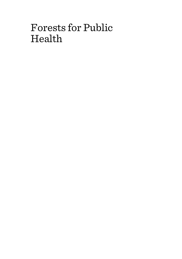# Forests for Public Health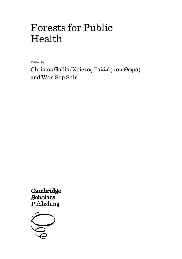# Forests for Public Health

Edited by

Christos Gallis (Χρίστος Γαλλής του Θωμά) and Won Sop Shin

Cambridge **Scholars** Publishing

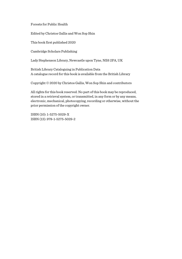Forests for Public Health

Edited by Christos Gallis and Won Sop Shin

This book first published 2020

Cambridge Scholars Publishing

Lady Stephenson Library, Newcastle upon Tyne, NE6 2PA, UK

British Library Cataloguing in Publication Data A catalogue record for this book is available from the British Library

Copyright © 2020 by Christos Gallis, Won Sop Shin and contributors

All rights for this book reserved. No part of this book may be reproduced, stored in a retrieval system, or transmitted, in any form or by any means, electronic, mechanical, photocopying, recording or otherwise, without the prior permission of the copyright owner.

ISBN (10): 1-5275-5029-X ISBN (13): 978-1-5275-5029-2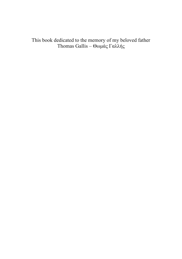This book dedicated to the memory of my beloved father Thomas Gallis – Θωμάς Γαλλής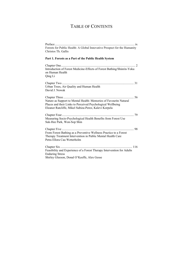# TABLE OF CONTENTS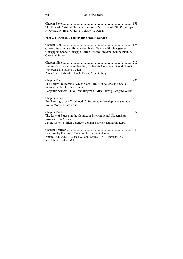Chapter Seven ......................................................................................... 158 The Role of Certified Physicians in Forest Medicine of INFOM in Japan H. Ochiai, M. Imai, Q. Li, Y. Takase, T. Ochiai

#### **Part 2. Forests as an Innovative Health Service**

Chapter Eight .......................................................................................... 184 Green Infrastructure, Human Health and New Health Management Giuseppina Spano, Giuseppe Carrus, Payam Dadvand, Sabine Pirchio, Giovanni Sanesi Chapter Nine ........................................................................................... 212 Nature based Vocational Training for Nature Conservation and Human Wellbeing in Skane, Sweden Anna Maria Palsdottir, Liz O'Brien, Ann Dolling Chapter Ten ............................................................................................ 235 The Policy Programme "Green Care Forest" in Austria as a Social Innovation for Health Services Benjamin Stander, Julia Anna Jungmair, Alice Ludvig, Gergard Weiss Chapter Eleven ....................................................................................... 259 Re-Naturing Urban Childhood: A Sustainable Development Strategy Robin Moore, Nilda Cosco Chapter Twelve ...................................................................................... 304 The Role of Forests in the Context of Environmental Citizenship: Insights from Austria Janine Oettel, Florian Leregger, Johann Zöscher, Katharina Lapin Chapter Thirteen ..................................................................................... 323 Learning by Planting: Education for Future Citizens Amaral R.D.A.M., Velasco G.D.N., Souza C.A., Tuppiassu A., Ielo P.K.Y., Solera M.L.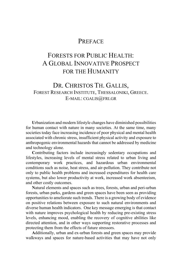### **PREFACE**

# FORESTS FOR PUBLIC HEALTH: A GLOBAL INNOVATIVE PROSPECT FOR THE HUMANITY

### DR. CHRISTOS TH. GALLIS, FOREST RESEARCH INSTITUTE, THESSALONIKI, GREECE. E-MAIL: CGALIS@FRI.GR

**U**rbanization and modern lifestyle changes have diminished possibilities for human contact with nature in many societies. At the same time, many societies today face increasing incidence of poor physical and mental health associated with chronic stress, insufficient physical activity and exposure to anthropogenic environmental hazards that cannot be addressed by medicine and technology alone.

**C**ontributing factors include increasingly sedentary occupations and lifestyles, increasing levels of mental stress related to urban living and contemporary work practices, and hazardous urban environmental conditions such as noise, heat stress, and air-pollution. They contribute not only to public health problems and increased expenditures for health care systems, but also lower productivity at work, increased work absenteeism, and other costly outcomes.

**N**atural elements and spaces such as trees, forests, urban and peri-urban forests, urban parks, gardens and green spaces have been seen as providing opportunities to ameliorate such trends. There is a growing body of evidence on positive relations between exposure to such natural environments and diverse human health indicators. One key message emerging is that contact with nature improves psychological health by reducing pre-existing stress levels, enhancing mood, enabling the recovery of cognitive abilities like directed attention, and in other ways supporting restorative processes and protecting them from the effects of future stressors.

**A**dditionally, urban and ex-urban forests and green spaces may provide walkways and spaces for nature-based activities that may have not only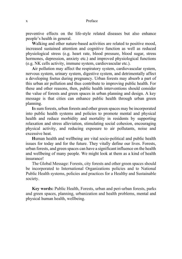#### x Preface

preventive effects on the life-style related diseases but also enhance people's health in general.

**W**alking and other nature-based activities are related to positive mood, increased sustained attention and cognitive function as well as reduced physiological stress (e.g. heart rate, blood pressure, blood sugar, stress hormones, depression, anxiety etc.) and improved physiological functions (e.g. NK cells activity, immune system, cardiovascular etc.).

**A**ir pollution may affect the respiratory system, cardiovascular system, nervous system, urinary system, digestive system, and detrimentally affect a developing foetus during pregnancy. Urban forests may absorb a part of this urban air pollution and thus contribute to improving public health. For these and other reasons, then, public health interventions should consider the value of forests and green spaces in urban planning and design. A key message is that cities can enhance public health through urban green planning.

**I**n sum forests, urban forests and other green spaces may be incorporated into public health systems and policies to promote mental and physical health and reduce morbidity and mortality in residents by supporting relaxation and stress alleviation, stimulating social cohesion, encouraging physical activity, and reducing exposure to air pollutants, noise and excessive heat.

**H**uman health and wellbeing are vital socio-political and public health issues for today and for the future. They vitally define our lives. Forests, urban forests, and green spaces can have a significant influence on the health and wellbeing of many people. We might look at them as a kind of health insurance!

The Global Message: Forests, city forests and other green spaces should be incorporated to International Organizations policies and to National Public Health systems, policies and practices for a Healthy and Sustainable society.

**Key words:** Public Health, Forests, urban and peri-urban forests, parks and green spaces, planning, urbanization and health problems, mental and physical human health, wellbeing.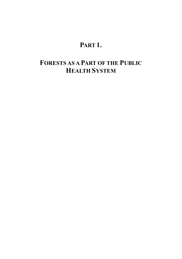# **PART 1.**

# **FORESTS AS A PART OF THE PUBLIC HEALTH SYSTEM**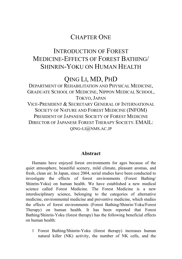## CHAPTER ONE

## INTRODUCTION OF FOREST MEDICINE-EFFECTS OF FOREST BATHING/ SHINRIN-YOKU ON HUMAN HEALTH

## QING LI, MD, PHD

DEPARTMENT OF REHABILITATION AND PHYSICAL MEDICINE, GRADUATE SCHOOL OF MEDICINE, NIPPON MEDICAL SCHOOL, TOKYO, JAPAN VICE-PRESIDENT & SECRETARY GENERAL OF INTERNATIONAL SOCIETY OF NATURE AND FOREST MEDICINE (INFOM) PRESIDENT OF JAPANESE SOCIETY OF FOREST MEDICINE DIRECTOR OF JAPANESE FOREST THERAPY SOCIETY. EMAIL:  $OING-LI(\omega)NMS.AC.JP$ 

#### **Abstract**

Humans have enjoyed forest environments for ages because of the quiet atmosphere, beautiful scenery, mild climate, pleasant aromas, and fresh, clean air. In Japan, since 2004, serial studies have been conducted to investigate the effects of forest environments (Forest Bathing/ Shinrin-Yoku) on human health. We have established a new medical science called Forest Medicine. The Forest Medicine is a new interdisciplinary science, belonging to the categories of alternative medicine, environmental medicine and preventive medicine, which studies the effects of forest environments (Forest Bathing/Shinrin-Yoku/Forest Therapy) on human health. It has been reported that Forest Bathing/Shinrin-Yoku (forest therapy) has the following beneficial effects on human health:

1 Forest Bathing/Shinrin-Yoku (forest therapy) increases human natural killer (NK) activity, the number of NK cells, and the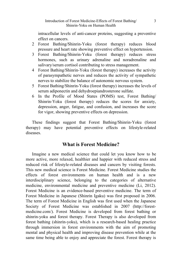intracellular levels of anti-cancer proteins, suggesting a preventive effect on cancers.

- 2 Forest Bathing/Shinrin-Yoku (forest therapy) reduces blood pressure and heart rate showing preventive effect on hypertension.
- 3 Forest Bathing/Shinrin-Yoku (forest therapy) reduces stress hormones, such as urinary adrenaline and noradrenaline and salivary/serum cortisol contributing to stress management.
- 4 Forest Bathing/Shinrin-Yoku (forest therapy) increases the activity of parasympathetic nerves and reduces the activity of sympathetic nerves to stabilize the balance of autonomic nervous system.
- 5 Forest Bathing/Shinrin-Yoku (forest therapy) increases the levels of serum adiponectin and dehydroepiandrosterone sulfate.
- 6 In the Profile of Mood States (POMS) test, Forest Bathing/ Shinrin-Yoku (forest therapy) reduces the scores for anxiety, depression, anger, fatigue, and confusion, and increases the score for vigor, showing preventive effects on depression.

These findings suggest that Forest Bathing/Shinrin-Yoku (forest therapy) may have potential preventive effects on lifestyle-related diseases.

### **What is Forest Medicine?**

Imagine a new medical science that could let you know how to be more active, more relaxed, healthier and happier with reduced stress and reduced risk of lifestyle-related diseases and cancers by visiting forests. This new medical science is Forest Medicine. Forest Medicine studies the effects of forest environments on human health and is a new interdisciplinary science, belonging to the categories of alternative medicine, environmental medicine and preventive medicine (Li, 2012). Forest Medicine is an evidence-based preventive medicine. The term of Forest Medicine in Japanese (Shinrin Igaku) was first proposed in 2006. The term of Forest Medicine in English was first used when the Japanese Society of Forest Medicine was established in 2007 (http://forestmedicine.com/). Forest Medicine is developed from forest bathing or shinrin-yoku and forest therapy. Forest Therapy is also developed from forest bathing (shinrin-yoku), which is a research-based healing practice through immersion in forest environments with the aim of promoting mental and physical health and improving disease prevention while at the same time being able to enjoy and appreciate the forest. Forest therapy is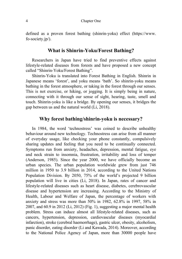defined as a proven forest bathing (shinrin-yoku) effect (https://www. fo-society.jp/).

#### **What is Shinrin-Yoku/Forest Bathing?**

Researchers in Japan have tried to find preventive effects against lifestyle-related diseases from forests and have proposed a new concept called "Shinrin-Yoku/Forest Bathing".

Shinrin-Yoku is translated into Forest Bathing in English. Shinrin in Japanese means 'forest', and yoku means 'bath'. So shinrin-yoku means bathing in the forest atmosphere, or taking in the forest through our senses. This is not exercise, or hiking, or jogging. It is simply being in nature, connecting with it through our sense of sight, hearing, taste, smell and touch. Shinrin-yoku is like a bridge. By opening our senses, it bridges the gap between us and the natural world (Li, 2018).

#### **Why forest bathing/shinrin-yoku is necessary?**

In 1984, the word 'technostress' was coined to describe unhealthy behaviour around new technology. Technostress can arise from all manner of everyday usage, like checking your phone constantly, compulsively sharing updates and feeling that you need to be continually connected. Symptoms run from anxiety, headaches, depression, mental fatigue, eye and neck strain to insomnia, frustration, irritability and loss of temper (Anderson, 1985). Since the year 2000, we have officially become an urban species. The urban population worldwide grew from just 746 million in 1950 to 3.9 billion in 2014, according to the United Nations Population Division. By 2050, 75% of the world's projected 9 billion population will live in cities (Li, 2018). In Japan, rates of cancer and lifestyle-related diseases such as heart disease, diabetes, cerebrovascular disease and hypertension are increasing. According to the Ministry of Health, Labour and Welfare of Japan, the percentage of workers with anxiety and stress was more than 50% in 1982, 62.8% in 1997, 58% in 2007, and 60.9 in 2012 (Li, 2012) (Fig. 1), suggesting a major mental health problem. Stress can induce almost all lifestyle-related diseases, such as cancers, hypertension, depression, cardiovascular diseases (myocardial infarction), stroke (cerebral haemorrhage), gastric ulcer, obesity, alcoholism, panic disorder, eating disorder (Li and Kawada, 2014). Moreover, according to the [National](http://ejje.weblio.jp/content/the+National) [Police](http://ejje.weblio.jp/content/Police) [Agency](http://ejje.weblio.jp/content/Agency) of Japan, more than 30000 people have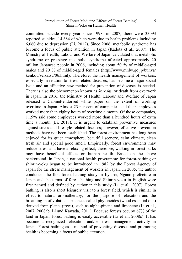#### Introduction of Forest Medicine-Effects of Forest Bathing/ Shinrin-Yoku on Human Health

committed suicide every year since 1998; in 2007, there were 33093 reported suicides, 14,684 of which were due to health problems including 6,060 due to depression (Li, 2012). Since 2006, metabolic syndrome has become a focus of public attention in Japan (Kadota et al., 2007). The Ministry of Health, Labour and Welfare of Japan calculated that metabolic syndrome or pre-stage metabolic syndrome affected approximately 20 million Japanese people in 2006, including about 50 % of middle-aged males and 20 % of middle-aged females [\(http://www.mhlw.go.jp/bunya/](http://www.mhlw.go.jp/bunya/kenkou/seikatsu/06.html) [kenkou/seikatsu/06.html\)](http://www.mhlw.go.jp/bunya/kenkou/seikatsu/06.html). Therefore, the health management of workers, especially in relation to stress-related diseases, has become a major social issue and an effective new method for prevention of diseases is needed. There is also the phenomenon known as *karoshi*, or death from overwork in Japan. In 2016, the Ministry of Health, Labour and Welfare of Japan released a Cabinet-endorsed white paper on the extent of working overtime in Japan. Almost 23 per cent of companies said their employees worked more than eighty hours of overtime a month. Of those companies, 11.9% said some employees worked more than a hundred hours of extra time a month (Li, 2018). It is urgent to establish preventive measures against stress and lifestyle-related diseases; however, effective prevention methods have not been established. The forest environment has long been enjoyed for its quiet atmosphere, beautiful scenery, calm climate, clean fresh air and special good smell. Empirically, forest environments may reduce stress and have a relaxing effect; therefore, walking in forest parks may have beneficial effects on human health. Based on the above background, in Japan, a national health programme for forest-bathing or shinrin-yoku began to be introduced in 1982 by the Forest Agency of Japan for the stress management of workers in Japan. In 2005, the author conducted the first forest bathing study in Iiyama, Ngano prefecture in Japan and the terms of forest bathing and Shinrin-yoku in English were first named and defined by author in this study (Li et al., 2007). Forest bathing is also a short leisurely visit to a forest field, which is similar in effect to natural aromatherapy, for the purpose of relaxation and the breathing in of volatile substances called phytoncides (wood essential oils) derived from plants (trees), such as alpha-pinene and limonene (Li et al., 2007, 2008ab, Li and Kawada, 2011). Because forests occupy 67% of the land in Japan, forest bathing is easily accessible (Li et al., 2008c). It has become a recognized relaxation and/or stress management activity in Japan. Forest bathing as a method of preventing diseases and promoting health is becoming a focus of public attention.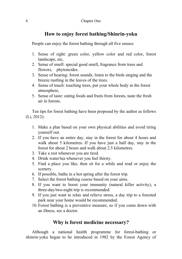#### **How to enjoy forest bathing/Shinrin-yoku**

People can enjoy the forest bathing through all five senses:

- 1. Sense of sight: green color, yellow color and red color, forest landscape, etc,
- 2. Sense of smell: special good smell, fragrance from trees and flowers, phytoncides.
- 3. Sense of hearing: forest sounds, listen to the birds singing and the breeze rustling in the leaves of the trees.
- 4. Sense of touch: touching trees, put your whole body in the forest atmosphere,
- 5. Sense of taste: eating foods and fruits from forests, taste the fresh air in forests.

Ten tips for forest bathing have been proposed by the author as follows (Li, 2012):

- 1. Make a plan based on your own physical abilities and avoid tiring yourself out.
- 2. If you have an entire day, stay in the forest for about 4 hours and walk about 5 kilometres. If you have just a half day, stay in the forest for about 2 hours and walk about 2.5 kilometres.
- 3. Take a rest whenever you are tired.
- 4. Drink water/tea whenever you feel thirsty.
- 5. Find a place you like, then sit for a while and read or enjoy the scenery.
- 6. If possible, bathe in a hot spring after the forest trip.
- 7. Select the forest bathing course based on your aims.
- 8. If you want to boost your immunity (natural killer activity), a three-day/two-night trip is recommended.
- 9. If you just want to relax and relieve stress, a day trip to a forested park near your home would be recommended.
- 10. Forest bathing is a preventive measure, so if you come down with an illness, see a doctor.

### **Why is forest medicine necessary?**

Although a national health programme for forest-bathing or shinrin-yoku began to be introduced in 1982 by the Forest Agency of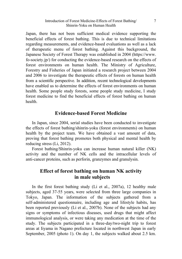#### Introduction of Forest Medicine-Effects of Forest Bathing/ Shinrin-Yoku on Human Health

Japan, there has not been sufficient medical evidence supporting the beneficial effects of forest bathing. This is due to technical limitations regarding measurements, and evidence-based evaluations as well as a lack of therapeutic menu of forest bathing. Against this background, the Japanese Society of Forest Therapy was established in 2004 [\(https://www.](https://www.fo-society.jp/) [fo-society.jp/\)](https://www.fo-society.jp/) for conducting the evidence-based research on the effects of forest environments on human health. The Ministry of Agriculture, Forestry and Fisheries of Japan initiated a research project between 2004 and 2006 to investigate the therapeutic effects of forests on human health from a scientific perspective. In addition, recent technological developments have enabled us to determine the effects of forest environments on human health. Some people study forests, some people study medicine, I study forest medicine to find the beneficial effects of forest bathing on human health.

#### **Evidence-based Forest Medicine**

In Japan, since 2004, serial studies have been conducted to investigate the effects of forest bathing/shinrin-yoku (forest environments) on human health by the project team. We have obtained a vast amount of data, proving that forest bathing promotes both physical and mental health by reducing stress (Li, 2012).

Forest bathing/Shinrin-yoku can increase human natural killer (NK) activity and the number of NK cells and the intracellular levels of anti-cancer proteins, such as perforin, granzymes and granulysin.

#### **Effect of forest bathing on human NK activity in male subjects**

In the first forest bathing study (Li et al., 2007a), 12 healthy male subjects, aged 37-55 years, were selected from three large companies in Tokyo, Japan. The information of the subjects gathered from a self-administered questionnaire, including age and lifestyle habits, has been reported previously (Li et al., 2007b). None of the subjects had any signs or symptoms of infectious diseases, used drugs that might affect immunological analysis, or were taking any medication at the time of the study. The subjects participated in a three-day/two-night trip to forest areas at Iiyama in Nagano prefecture located in northwest Japan in early September, 2005 (photo 1). On day 1, the subjects walked about 2.5 km.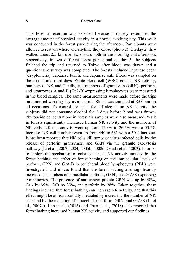This level of exertion was selected because it closely resembles the average amount of physical activity in a normal working day. This walk was conducted in the forest park during the afternoon. Participants were allowed to rest anywhere and anytime they chose (photo 2). On day 2, they walked about 2.5 km over two hours both in the morning and afternoon, respectively, in two different forest parks; and on day 3, the subjects finished the trip and returned to Tokyo after blood was drawn and a questionnaire survey was completed. The forests included Japanese cedar (Cryptomeria), Japanese beech, and Japanese oak. Blood was sampled on the second and third days. White blood cell (WBC) counts, NK activity, numbers of NK and T cells, and numbers of granulysin (GRN), perforin, and granzymes A and B (GrA/B)-expressing lymphocytes were measured in the blood samples. The same measurements were made before the trips on a normal working day as a control. Blood was sampled at 8:00 am on all occasions. To control for the effect of alcohol on NK activity, the subjects did not consume alcohol for 2 days before blood was drawn. Phytoncide concentrations in forest air samples were also measured. Walk in forests significantly increased human NK activity and the numbers of NK cells. NK cell activity went up from 17.3% to 26.5% with a 53.2% increase. NK cell numbers went up from 440 to 661 with a 50% increase. It has been reported that NK cells kill tumor or virus-infected cells by the release of perforin, granzymes, and GRN via the granule exocytosis pathway (Li et al., 2002, 2004, 2005b, 2008d, Okada et al., 2003). In order to explore the mechanism of enhancement of NK activity induced by the forest bathing, the effect of forest bathing on the intracellular levels of perforin, GRN, and GrA/B in peripheral blood lymphocytes (PBL) were investigated, and it was found that the forest bathing also significantly increased the numbers of intracellular perforin-, GRN-, and GrA/B-expressing lymphocytes. The presence of anti-cancer protein GRN was up by 48%, GrA by 39%, GrB by 33%, and perforin by 28%. Taken together, these findings indicate that forest bathing can increase NK activity, and that this effect might be at least partially mediated by increasing the number of NK cells and by the induction of intracellular perforin, GRN, and GrA/B (Li et al., 2007a). Han et al., (2016) and Tsao et al., (2018) also reported that forest bathing increased human NK activity and supported our findings.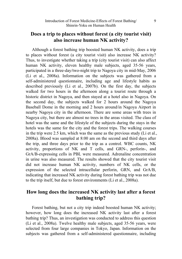### **Does a trip to places without forest (a city tourist visit) also increase human NK activity?**

Although a forest bathing trip boosted human NK activity, does a trip to places without forest (a city tourist visit) also increase NK activity? Thus, to investigate whether taking a trip (city tourist visit) can also affect human NK activity, eleven healthy male subjects, aged 35-56 years, participated in a three-day/two-night trip to Nagoya city in mid-May, 2006 (Li et al., 2008a). Information on the subjects was gathered from a self-administered questionnaire, including age and lifestyle habits as described previously (Li et al., 2007b). On the first day, the subjects walked for two hours in the afternoon along a tourist route through a historic district in Nagoya, and then stayed at a hotel also in Nagoya. On the second day, the subjects walked for 2 hours around the Nagoya Baseball Dome in the morning and 2 hours around/in Nagoya Airport in nearby Nagoya city in the afternoon. There are some areas with trees in Nagoya city, but there are almost no trees in the areas visited. The class of hotel was the same and the lifestyle of the subjects during the stays in the hotels was the same for the city and the forest trips. The walking courses in the trip were 2.5 km, which was the same as the previous study (Li et al., 2008a). Blood was sampled at 8:00 am on the second and third days after the trip, and three days prior to the trip as a control. WBC counts, NK activity, proportions of NK and T cells, and GRN-, perforin-, and GrA/B-expressing cells in PBL were measured. Adrenaline concentration in urine was also measured. The results showed that the city tourist visit did not increase human NK activity, numbers of NK cells, or the expression of the selected intracellular perforin, GRN, and GrA/B, indicating that increased NK activity during forest bathing trip was not due to the trip itself, but due to forest environments (Li et al., 2008a).

### **How long does the increased NK activity last after a forest bathing trip?**

Forest bathing, but not a city trip indeed boosted human NK activity; however, how long does the increased NK activity last after a forest bathing trip? Thus, an investigation was conducted to address this question (Li et al., 2008a). Twelve healthy male subjects, aged 35-56 years, were selected from four large companies in Tokyo, Japan. Information on the subjects was gathered from a self-administered questionnaire, including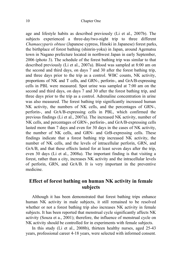age and lifestyle habits as described previously (Li et al., 2007b). The subjects experienced a three-day/two-night trip to three different *Chamaecyparis obtuse* (Japanese cypress, Hinoki in Japanese) forest parks, the birthplace of forest bathing (shinrin-yoku) in Japan, around Agematsu town in Nagano prefecture located in northwest Japan in early September, 2006 (photo 3). The schedule of the forest bathing trip was similar to that described previously (Li et al., 2007a). Blood was sampled at 8:00 am on the second and third days, on days 7 and 30 after the forest bathing trip, and three days prior to the trip as a control. WBC counts, NK activity, proportions of NK and T cells, and GRN-, perforin-, and GrA/B-expressing cells in PBL were measured. Spot urine was sampled at 7:00 am on the second and third days, on days 7 and 30 after the forest bathing trip, and three days prior to the trip as a control. Adrenaline concentration in urine was also measured. The forest bathing trip significantly increased human NK activity, the numbers of NK cells, and the percentages of GRN-, perforin-, and GrA/B-expressing cells in PBL, which confirmed the previous findings (Li et al., 2007a). The increased NK activity, number of NK cells, and percentages of GRN-, perforin-, and GrA/B-expressing cells lasted more than 7 days and even for 30 days in the cases of NK activity, the number of NK cells, and GRN- and GrB-expressing cells. These findings indicate that a forest bathing trip increased NK activity, the number of NK cells, and the levels of intracellular perforin, GRN, and GrA/B, and that these effects lasted for at least seven days after the trip, even 30 days (Li et al., 2008a). The important finding is that visiting a forest, rather than a city, increases NK activity and the intracellular levels of perforin, GRN, and GrA/B. It is very important in the preventive medicine.

#### **Effect of forest bathing on human NK activity in female subjects**

Although it has been demonstrated that forest bathing trips enhance human NK activity in male subjects, it still remained to be resolved whether or not a forest bathing trip also increases NK activity in female subjects. It has been reported that menstrual cycle significantly affects NK activity (Souza et a., 2001); therefore, the influence of menstrual cycle on NK activity should be controlled for in experiments with female subjects.

In this study (Li et al., 2008b), thirteen healthy nurses, aged 25-43 years, professional career 4-18 years, were selected with informed consent.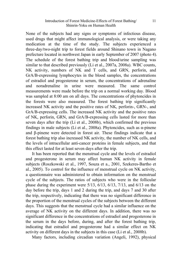#### Introduction of Forest Medicine-Effects of Forest Bathing/ Shinrin-Yoku on Human Health

None of the subjects had any signs or symptoms of infectious disease, used drugs that might affect immunological analysis, or were taking any medication at the time of the study. The subjects experienced a three-day/two-night trip to forest fields around Shinano town in Nagano prefecture located in northwest Japan in early September of 2007 (photo 4). The schedule of the forest bathing trip and blood/urine sampling was similar to that described previously (Li et al., 2007a, 2008a). WBC counts, NK activity, numbers of NK and T cells, and GRN, perforin, and GrA/B-expressing lymphocytes in the blood samples, the concentrations of estradiol and progesterone in serum, the concentrations of adrenaline and noradrenaline in urine were measured. The same control measurements were made before the trip on a normal working day. Blood was sampled at 8:00 am on all days. The concentrations of phytoncides in the forests were also measured. The forest bathing trip significantly increased NK activity and the positive rates of NK, perforin-, GRN-, and GrA/B-expressing cells. The increased NK activity and the positive rates of NK, perforin, GRN, and GrA/B-expressing cells lasted for more than seven days after the trip (Li et al., 2008b), which confirmed the previous findings in male subjects (Li et al., 2008a). Phytoncides, such as α-pinene and β-pinene were detected in forest air. These findings indicate that a forest bathing trip also increased NK activity, the number of NK cells, and the levels of intracellular anti-cancer proteins in female subjects, and that this effect lasted for at least seven days after the trip.

It has been reported that the menstrual cycle and the levels of estradiol and progesterone in serum may affect human NK activity in female subjects (Roszkowski et al., 1997, Souza et a., 2001, Szekeres-Bartho et al., 2005). To control for the influence of menstrual cycle on NK activity, a questionnaire was administered to obtain information on the menstrual cycle of the subjects. The ratios of subjects who were in the follicular phase during the experiment were 5/13, 6/13, 6/13, 7/13, and 6/13 on the day before the trip, days 1 and 2 during the trip, and days 7 and 30 after the trip, respectively, indicating that there was no significant difference in the proportion of the menstrual cycles of the subjects between the different days. This suggests that the menstrual cycle had a similar influence on the average of NK activity on the different days. In addition, there was no significant difference in the concentrations of estradiol and progesterone in the serum in the days before, during, and after the forest bathing trip, indicating that estradiol and progesterone had a similar effect on NK activity on different days in the subjects in this case (Li et al., 2008b).

Many factors, including circadian variation (Angeli, 1992), physical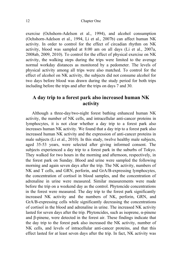exercise (Ochshorn-Adelson et al., 1994), and alcohol consumption (Ochshorn-Adelson et al., 1994, Li et al., 2007b) can affect human NK activity. In order to control for the effect of circadian rhythm on NK activity, blood was sampled at 8:00 am on all days (Li et al., 2007a, 2008ab, 2009, 2010). To control for the effect of physical exercise on NK activity, the walking steps during the trips were limited to the average normal workday distances as monitored by a pedometer. The levels of physical activity among all trips were also matched. To control for the effect of alcohol on NK activity, the subjects did not consume alcohol for two days before blood was drawn during the study period for both trips including before the trips and after the trips on days 7 and 30.

#### **A day trip to a forest park also increased human NK activity**

Although a three-day/two-night forest bathing enhanced human NK activity, the number of NK cells, and intracellular anti-cancer proteins in lymphocytes, it is not clear whether a day trip to a forest park also increases human NK activity. We found that a day trip to a forest park also increased human NK activity and the expression of anti-cancer proteins in male subjects (Li et al., 2010). In this study, twelve healthy male subjects, aged 35-53 years, were selected after giving informed consent. The subjects experienced a day trip to a forest park in the suburbs of Tokyo. They walked for two hours in the morning and afternoon, respectively, in the forest park on Sunday. Blood and urine were sampled the following morning and again seven days after the trip. The NK activity, numbers of NK and T cells, and GRN, perforin, and GrA/B-expressing lymphocytes, the concentration of cortisol in blood samples, and the concentration of adrenaline in urine were measured. Similar measurements were made before the trip on a weekend day as the control. Phytoncide concentrations in the forest were measured. The day trip to the forest park significantly increased NK activity and the numbers of NK, perforin, GRN, and GrA/B-expressing cells while significantly decreasing the concentrations of cortisol in the blood and adrenaline in urine. The increased NK activity lasted for seven days after the trip. Phytoncides, such as isoprene, α-pinene and β-pinene, were detected in the forest air. These findings indicate that the day trip to the forest park also increased the NK activity, number of NK cells, and levels of intracellular anti-cancer proteins, and that this effect lasted for at least seven days after the trip. In fact, NK activity was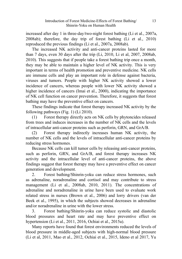increased after day 1 in three-day/two-night forest bathing (Li et al., 2007a, 2008ab); therefore, the day trip of forest bathing (Li et al., 2010) reproduced the previous findings (Li et al., 2007a, 2008ab).

The increased NK activity and anti-cancer proteins lasted for more than 7 days, even 30 days after the trip (Li, 2010, Li et al, 2007, 2008ab, 2010). This suggests that if people take a forest bathing trip once a month, they may be able to maintain a higher level of NK activity. This is very important in terms of health promotion and preventive medicine. NK cells are immune cells and play an important role in defense against bacteria, viruses and tumors. People with higher NK activity showed a lower incidence of cancers, whereas people with lower NK activity showed a higher incidence of cancers (Imai et al., 2000), indicating the importance of NK cell function on cancer prevention. Therefore, it suggests that forest bathing may have the preventive effect on cancers.

These findings indicate that forest therapy increased NK activity by the following pathways (Fig. 1) (Li 2010).

(1) Forest therapy directly acts on NK cells by phytoncides released from trees and induces increases in the number of NK cells and the levels of intracellular anti-cancer proteins such as perforin, GRN, and GrA/B.

(2) Forest therapy indirectly increases human NK activity, the number of NK cells and the levels of intracellular anti-cancer proteins by reducing stress hormones.

Because NK cells can kill tumor cells by releasing anti-cancer proteins, such as perforin, GRN, and GrA/B, and forest therapy increases NK activity and the intracellular level of anti-cancer proteins, the above findings suggest that forest therapy may have a preventive effect on cancer generation and development.

2. Forest bathing/Shinrin-yoku can reduce stress hormones, such as adrenaline, noradrenaline and cortisol and may contribute to stress management (Li et al., 2008ab, 2010, 2011). The concentrations of adrenaline and noradrenaline in urine have been used to evaluate work related stress in nurses (Brown et al., 2006) and lorry drivers (van der Beek et al., 1995), in which the subjects showed decreases in adrenaline and/or noradrenaline in urine with the lower stress.

3. Forest bathing/Shinrin-yoku can reduce systolic and diastolic blood pressures and heart rate and may have preventive effect on hypertension (Li et al., 2011, 2016, Ochiai et al., 2015a).

Many reports have found that forest environments reduced the levels of blood pressure in middle-aged subjects with high-normal blood pressure (Li et al, 2011, Mao et al., 2012, Ochiai et al., 2015, Ideno et al 2017, Yu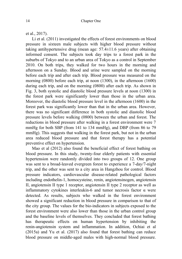et al., 2017).

Li et al. (2011) investigated the effects of forest environments on blood pressure in sixteen male subjects with higher blood pressure without taking antihypertensive drug (mean age: 57.4±11.6 years) after obtaining informed consent. The subjects took day trips to a forest park in the suburbs of Tokyo and to an urban area of Tokyo as a control in September 2010. On both trips, they walked for two hours in the morning and afternoon on a Sunday. Blood and urine were sampled on the morning before each trip and after each trip. Blood pressure was measured on the morning (0800) before each trip, at noon (1300), in the afternoon (1600) during each trip, and on the morning (0800) after each trip. As shown in Fig. 3, both systolic and diastolic blood pressure levels at noon (1300) in the forest park were significantly lower than those in the urban area. Moreover, the diastolic blood pressure level in the afternoon (1600) in the forest park was significantly lower than that in the urban area. However, there was no significant difference in both systolic and diastolic blood pressure levels before walking (0800) between the urban and forest. The reductions in blood pressure after walking in a forest environment were 7 mmHg for both SBP (from 141 to 134 mmHg), and DBP (from 86 to 79 mmHg). This suggests that walking in the forest park, but not in the urban area reduced blood pressure and that forest therapy has a potential preventive effect on hypertension.

Mao et al (2012) also found the beneficial effect of forest bathing on blood pressure. In this study, twenty-four elderly patients with essential hypertension were randomly divided into two groups of 12. One group was sent to a broad-leaved evergreen forest to experience a 7-day/7-night trip, and the other was sent to a city area in Hangzhou for control. Blood pressure indicators, cardiovascular disease-related pathological factors including endothelin-1, homocysteine, renin, angiotensinogen, angiotensin II, angiotensin II type 1 receptor, angiotensin II type 2 receptor as well as inflammatory cytokines interleukin-6 and tumor necrosis factor α were detected. As results, subjects who walked in the forest environment showed a significant reduction in blood pressure in comparison to that of the city group. The values for the bio-indicators in subjects exposed to the forest environment were also lower than those in the urban control group and the baseline levels of themselves. They concluded that forest bathing has therapeutic effects on human hypertension by inhibiting the renin-angiotensin system and inflammation. In addition, Ochiai et al (2015a) and Yu et al. (2017) also found that forest [bathing](https://www.ncbi.nlm.nih.gov/pubmed/25809507) can reduce blood pressure on [middle-aged](https://www.ncbi.nlm.nih.gov/pubmed/25809507) males with high-normal blood pressure.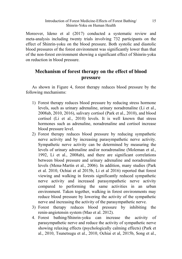#### Introduction of Forest Medicine-Effects of Forest Bathing/ Shinrin-Yoku on Human Health

Moreover, Ideno et al (2017) conducted a systematic review and meta-analysis including twenty trials involving 732 participants on the effect of Shinrin-yoku on the blood pressure. Both systolic and diastolic blood pressures of the forest environment was significantly lower than that of the non-forest environment showing a significant effect of Shinrin-yoku on reduction in blood pressure.

### **Mechanism of forest therapy on the effect of blood pressure**

As shown in Figure 4, forest therapy reduces blood pressure by the following mechanisms:

- 1) Forest therapy reduces blood pressure by reducing stress hormone levels, such as urinary adrenaline, urinary noradrenaline (Li et al., 2008ab, 2010, 2016), salivary cortisol (Park et al., 2010), and blood cortisol (Li et al., 2010) levels. It is well known that stress hormones such as adrenaline, noradrenaline and cortisol increase blood pressure level.
- 2) Forest therapy reduces blood pressure by reducing sympathetic nerve activity and by increasing parasympathetic nerve activity. Sympathetic nerve activity can be determined by measuring the levels of urinary adrenaline and/or noradrenaline (Moleman et al., 1992, Li et al., 2008ab), and there are significant correlations between blood pressure and urinary adrenaline and noradrenaline levels (Mena-Martín et al., 2006). In addition, many studies (Park et al. 2010, Ochiai et al 2015b, Li et al 2016) reported that forest viewing and walking in forests significantly reduced sympathetic nerve activity and increased parasympathetic nerve activity compared to performing the same activities in an urban environment. Taken together, walking in forest environments may reduce blood pressure by lowering the activity of the sympathetic nerve and increasing the activity of the parasympathetic nerve.
- 3) Forest therapy reduces blood pressure by inhibiting the renin-angiotensin system (Mao et al. 2012).
- 4. Forest bathing/Shinrin-yoku can increase the activity of parasympathetic nerve and reduce the activity of sympathetic nerve showing relaxing effects (psychologically calming effects) (Park et al., 2010, Tsunetsugu et al., 2010, Ochiai et al, 2015b, Song et al.,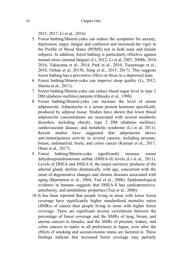2015, 2017, Li et al., 2016).

- 5. Forest bathing/Shinrin-yoku can reduce the symptoms for anxiety, depression, anger, fatigue and confusion and increased the vigor in the Profile of Mood States (POMS) test in both male and female subjects. In addition, forest bathing is particularly effective against mental stress (mental fatigue) (Li, 2012, Li et al, 2007, 2008b, 2010, 2016, Takayama et al., 2014, Park et al., 2010, Tsunetsugu et al., 2010, Ochiai et al, 2015b, Song et al., 2015, 2017). This suggests forest bathing has a preventive effect on those in a depressed state.
- 6. Forest bathing/Shinrin-yoku can improve sleep quality (Li, 2012, Morita et al., 2011).
- 7. Forest bathing/Shinrin-yoku can reduce blood sugar level in type 2 DM (diabetes mellitus) patients (Ohtsuka et al., 1998).
- 8. Forest bathing/Shinrin-yoku can increase the level of serum adiponectin. Adiponectin is a serum protein hormone specifically produced by adipose tissue. Studies have shown that lower blood adiponectin concentrations are associated with several metabolic disorders, including obesity, type 2 DM (diabetes mellitus), cardiovascular disease, and metabolic syndrome (Li et al, 2011). Recent studies have suggested that adiponectin shows anti-tumorigenesis activity in several cancers, including prostate, breast, endometrial, brain, and colon cancer (Karnati et al., 2017, Otani et al., 2017).
- 9. Forest bathing/Shinrin-yoku significantly increase serum dehydroepiandrosterone sulfate (DHEA-S) levels (Li et al., 2011). Levels of DHEA and DHEA-S, the major secretory products of the adrenal gland, decline dramatically with age, concurrent with the onset of degenerative changes and chronic diseases associated with aging (Bjørnerem et al., 2004, Tsai et al., 2006). Epidemiological evidence in humans suggests that DHEA-S has cardioprotective, antiobesity, and antidiabetic properties (Tsai et al., 2006).
- 10.It has been reported that people living in areas with lower forest coverage have significantly higher standardized mortality ratios (SMRs) of cancer than people living in areas with higher forest coverage. There are significant inverse correlations between the percentage of forest coverage and the SMRs of lung, breast, and uterine cancers in females, and the SMRs of prostate, kidney, and colon cancers in males in all prefectures in Japan, even after the effects of smoking and socioeconomic status are factored in. These findings indicate that increased forest coverage may partially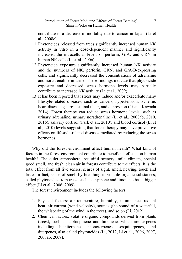contribute to a decrease in mortality due to cancer in Japan (Li et al., 2008c).

- 11. Phytoncides released from trees significantly increased human NK activity in vitro in a dose-dependent manner and significantly increased the intracellular levels of perforin, GrA, and GRN in human NK cells (Li et al., 2006).
- 12. Phytoncide exposure significantly increased human NK activity and the numbers of NK, perforin, GRN, and GrA/B-expressing cells, and significantly decreased the concentrations of adrenaline and noradrenaline in urine. These findings indicate that phytoncide exposure and decreased stress hormone levels may partially contribute to increased NK activity (Li et al., 2009).
- 13.It has been reported that stress may induce and/or exacerbate many lifestyle-related diseases, such as cancers, hypertension, ischemic heart disease, gastrointestinal ulcer, and depression (Li and Kawada 2014). Forest therapy can reduce stress hormone levels, such as urinary adrenaline, urinary noradrenaline (Li et al., 2008ab, 2010, 2016), salivary cortisol (Park et al., 2010), and blood cortisol (Li et al., 2010) levels suggesting that forest therapy may have preventive effects on lifestyle-related diseases mediated by reducing the stress hormones.

Why did the forest environment affect human health? What kind of factors in the forest environment contribute to beneficial effects on human health? The quiet atmosphere, beautiful scenery, mild climate, special good smell, and fresh, clean air in forests contribute to the effects. It is the total effect from all five senses: senses of sight, smell, hearing, touch and taste. In fact, sense of smell by breathing in volatile organic substances, called phytoncides from trees, such as α-pinene and limonene has a bigger effect (Li et al., 2006, 2009).

The forest environment includes the following factors:

- 1. Physical factors: air temperature, humidity, illuminance, radiant heat, air current (wind velocity), sounds (the sound of a waterfall, the whispering of the wind in the trees), and so on (Li, 2012).
- 2. Chemical factors: volatile organic compounds derived from plants (trees), such as alpha-pinene and limonene, which are terpenes including hemiterpenes, monoterpenes, [sesquiterpenes,](http://en.wikipedia.org/wiki/Sesquiterpenes) and [diterpenes,](http://en.wikipedia.org/wiki/Diterpenes) also called phytoncides (Li, 2012, Li et al., 2006, 2007, 2008ab, 2009).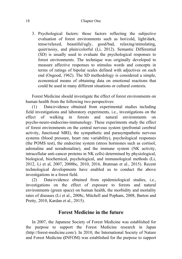#### 18 Chapter One

3. Psychological factors: those factors reflecting the subjective evaluation of forest environments such as hot/cold, light/dark, tense/relaxed, beautiful/ugly, good/bad, relaxing/stimulating, quiet/noisy, and plain/colorful (Li, 2012). Semantic Differential (SD) is usually used to evaluate the psychological responses to forest environments. The technique was originally developed to measure affective responses to stimulus words and concepts in terms of ratings of bipolar scales defined with adjectives on each end (Osgood, 1962). The SD methodology is considered a simple, economical means of obtaining data on emotional reactions that could be used in many different situations or cultural contexts.

Forest Medicine should investigate the effect of forest environments on human health from the following two perspectives:

(1) Data/evidence obtained from experimental studies including field investigations and laboratory experiments, i.e., investigations on the effect of walking in forests and natural environments on psycho-neuro-endocrino-immunology. These experiments study the effect of forest environments on the central nervous system (prefrontal cerebral activity, functional MRI), the sympathetic and parasympathetic nervous systems (blood pressure, heart rate variability), psychological responses (the POMS test), the endocrine system (stress hormones such as cortisol, adrenaline and noradrenaline), and the immune system (NK activity, intracellular anti-cancer proteins in NK cells) determined by physiological, biological, biochemical, psychological, and immunological methods (Li, 2012, Li et al, 2007, 2008bc, 2010, 2016, Bratman et al., 2015). Recent technological developments have enabled us to conduct the above investigations in a forest field.

(2) Data/evidence obtained from epidemiological studies, i.e., investigations on the effect of exposure to forests and natural environments (green space) on human health, the morbidity and mortality rates of diseases (Li et al., 2008c, Mitchell and Popham, 2008, Barton and Pretty, 2010, Kardan et al., 2015).

#### **Forest Medicine in the future**

In 2007, the Japanese Society of Forest Medicine was established for the purpose to support the Forest Medicine research in Japan [\(http://forest-medicine.com/\)](http://forest-medicine.com/). In 2010, the International Society of Nature and Forest Medicine **(**INFOM) was established for the purpose to support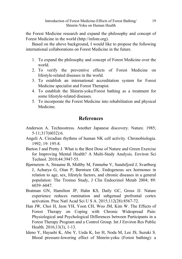the Forest Medicine research and expand the philosophy and concept of Forest Medicine in the world [\(http://infom.org\)](http://infom.org/).

Based on the above background, I would like to propose the following international collaborations on Forest Medicine in the future.

- 1. To expand the philosophy and concept of Forest Medicine over the world.
- 2. To verify the preventive effects of Forest Medicine on lifestyle-related diseases in the world.
- 3. To establish an international accreditation system for Forest Medicine specialist and Forest Therapist.
- 4. To establish the Shinrin-yoku/Forest bathing as a treatment for some lifestyle-related diseases.
- 5. To incorporate the Forest Medicine into rehabilitation and physical Medicine.

### **References**

- Anderson A. [Technostress.](https://www.ncbi.nlm.nih.gov/pubmed/4033790) Another Japanese discovery. Nature. 1985; 5-11;317(6032):6.
- Angeli A. [Circadian](http://www.ncbi.nlm.nih.gov/pubmed/1478118?ordinalpos=3&itool=EntrezSystem2.PEntrez.Pubmed.Pubmed_ResultsPanel.Pubmed_DefaultReportPanel.Pubmed_RVDocSum) rhythms of human NK cell activity. Chronobiologia. 1992; 19: 195-8.
- Barton J and Pretty J. What is the Best Dose of Nature and Green Exercise for Improving Mental Health? A Multi-Study Analysis. [Environ](javascript:AL_get(this,%20) Sci [Technol.](javascript:AL_get(this,%20) 2010;44:3947-55.
- [Bjørnerem](http://www.ncbi.nlm.nih.gov/pubmed?term=%22Bj%C3%B8rnerem%20A%22%5BAuthor%5D) A, [Straume](http://www.ncbi.nlm.nih.gov/pubmed?term=%22Straume%20B%22%5BAuthor%5D) B, [Midtby](http://www.ncbi.nlm.nih.gov/pubmed?term=%22Midtby%20M%22%5BAuthor%5D) M, [Fønnebø](http://www.ncbi.nlm.nih.gov/pubmed?term=%22F%C3%B8nneb%C3%B8%20V%22%5BAuthor%5D) V, [Sundsfjord](http://www.ncbi.nlm.nih.gov/pubmed?term=%22Sundsfjord%20J%22%5BAuthor%5D) J, [Svartberg](http://www.ncbi.nlm.nih.gov/pubmed?term=%22Svartberg%20J%22%5BAuthor%5D) [J,](http://www.ncbi.nlm.nih.gov/pubmed?term=%22Svartberg%20J%22%5BAuthor%5D) [Acharya](http://www.ncbi.nlm.nih.gov/pubmed?term=%22Acharya%20G%22%5BAuthor%5D) G, [Oian](http://www.ncbi.nlm.nih.gov/pubmed?term=%22Oian%20P%22%5BAuthor%5D) P, [Berntsen](http://www.ncbi.nlm.nih.gov/pubmed?term=%22Berntsen%20GK%22%5BAuthor%5D) GK. Endogenous sex hormones in relation to age, sex, lifestyle factors, and chronic diseases in a general population: The Tromso Study, J Clin Endocrinol Metab 2004; 89: 6039–6047.
- Bratman GN, Hamilton JP, Hahn KS, Daily GC, Gross JJ. [Nature](https://www.ncbi.nlm.nih.gov/pubmed/26124129) experience reduces [rumination](https://www.ncbi.nlm.nih.gov/pubmed/26124129) and subgenual prefrontal cortex [activation.](https://www.ncbi.nlm.nih.gov/pubmed/26124129) Proc Natl Acad Sci U S A. 2015;112(28):8567-72.
- Han JW, Choi H, Jeon YH, Yoon CH, Woo JM, Kim W. The [Effects](https://www.ncbi.nlm.nih.gov/pubmed/26927141) of Forest Therapy on Coping with Chronic [Widespread](https://www.ncbi.nlm.nih.gov/pubmed/26927141) Pain: Physiological and [Psychological](https://www.ncbi.nlm.nih.gov/pubmed/26927141) Differences between Participants in a Forest Therapy [Program](https://www.ncbi.nlm.nih.gov/pubmed/26927141) and a Control Group. Int J Environ Res Public Health. 2016;13(3), 1-13.
- Ideno Y, Hayashi K, Abe Y, Ueda K, Iso H, Noda M, Lee JS, Suzuki S. Blood [pressure-lowering](https://www.ncbi.nlm.nih.gov/pubmed/28814305) effect of Shinrin-yoku (Forest bathing): a